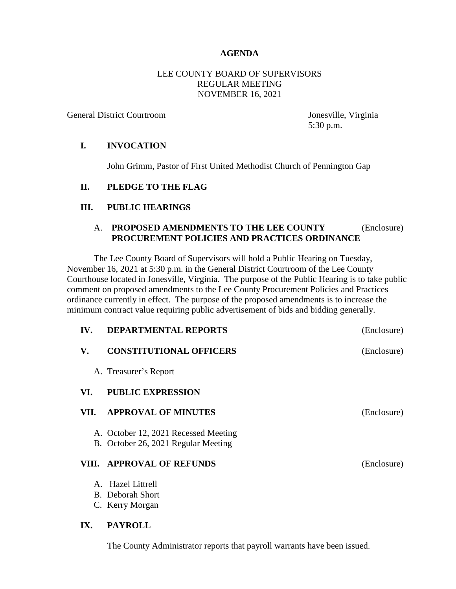# **AGENDA**

### LEE COUNTY BOARD OF SUPERVISORS REGULAR MEETING NOVEMBER 16, 2021

General District Courtroom Jonesville, Virginia

5:30 p.m.

### **I. INVOCATION**

John Grimm, Pastor of First United Methodist Church of Pennington Gap

# **II. PLEDGE TO THE FLAG**

# **III. PUBLIC HEARINGS**

### A. **PROPOSED AMENDMENTS TO THE LEE COUNTY** (Enclosure)  **PROCUREMENT POLICIES AND PRACTICES ORDINANCE**

The Lee County Board of Supervisors will hold a Public Hearing on Tuesday, November 16, 2021 at 5:30 p.m. in the General District Courtroom of the Lee County Courthouse located in Jonesville, Virginia. The purpose of the Public Hearing is to take public comment on proposed amendments to the Lee County Procurement Policies and Practices ordinance currently in effect. The purpose of the proposed amendments is to increase the minimum contract value requiring public advertisement of bids and bidding generally.

| IV.   | <b>DEPARTMENTAL REPORTS</b>                                                 | (Enclosure) |
|-------|-----------------------------------------------------------------------------|-------------|
| V.    | <b>CONSTITUTIONAL OFFICERS</b>                                              | (Enclosure) |
|       | A. Treasurer's Report                                                       |             |
| VI.   | <b>PUBLIC EXPRESSION</b>                                                    |             |
| VII.  | <b>APPROVAL OF MINUTES</b>                                                  | (Enclosure) |
|       | A. October 12, 2021 Recessed Meeting<br>B. October 26, 2021 Regular Meeting |             |
| VIII. | <b>APPROVAL OF REFUNDS</b>                                                  | (Enclosure) |
|       | A. Hazel Littrell                                                           |             |
|       | <b>B.</b> Deborah Short                                                     |             |
|       | C. Kerry Morgan                                                             |             |
| IX.   | <b>PAYROLL</b>                                                              |             |

The County Administrator reports that payroll warrants have been issued.